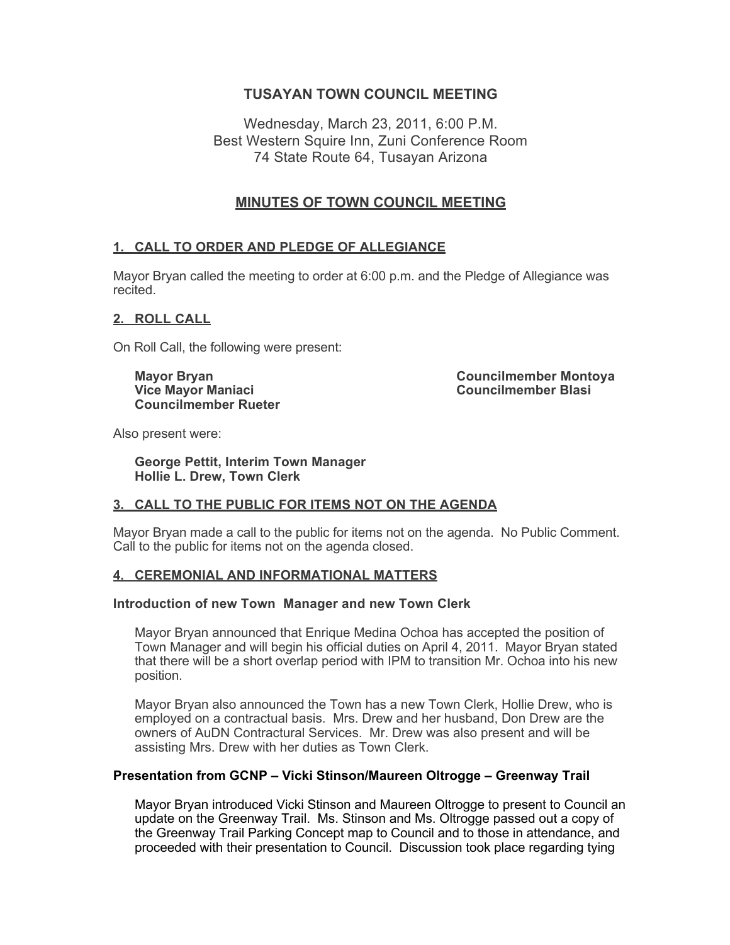# **TUSAYAN TOWN COUNCIL MEETING**

Wednesday, March 23, 2011, 6:00 P.M. Best Western Squire Inn, Zuni Conference Room 74 State Route 64, Tusayan Arizona

# **MINUTES OF TOWN COUNCIL MEETING**

## **1. CALL TO ORDER AND PLEDGE OF ALLEGIANCE**

Mayor Bryan called the meeting to order at 6:00 p.m. and the Pledge of Allegiance was recited.

### **2. ROLL CALL**

On Roll Call, the following were present:

**Councilmember Rueter**

**Mayor Bryan Councilmember Montoya Vice Mayor Maniaci Councilmember Blasi**

Also present were:

**George Pettit, Interim Town Manager Hollie L. Drew, Town Clerk**

## **3. CALL TO THE PUBLIC FOR ITEMS NOT ON THE AGENDA**

Mayor Bryan made a call to the public for items not on the agenda. No Public Comment. Call to the public for items not on the agenda closed.

## **4. CEREMONIAL AND INFORMATIONAL MATTERS**

#### **Introduction of new Town Manager and new Town Clerk**

Mayor Bryan announced that Enrique Medina Ochoa has accepted the position of Town Manager and will begin his official duties on April 4, 2011. Mayor Bryan stated that there will be a short overlap period with IPM to transition Mr. Ochoa into his new position.

Mayor Bryan also announced the Town has a new Town Clerk, Hollie Drew, who is employed on a contractual basis. Mrs. Drew and her husband, Don Drew are the owners of AuDN Contractural Services. Mr. Drew was also present and will be assisting Mrs. Drew with her duties as Town Clerk.

#### **Presentation from GCNP – Vicki Stinson/Maureen Oltrogge – Greenway Trail**

Mayor Bryan introduced Vicki Stinson and Maureen Oltrogge to present to Council an update on the Greenway Trail. Ms. Stinson and Ms. Oltrogge passed out a copy of the Greenway Trail Parking Concept map to Council and to those in attendance, and proceeded with their presentation to Council. Discussion took place regarding tying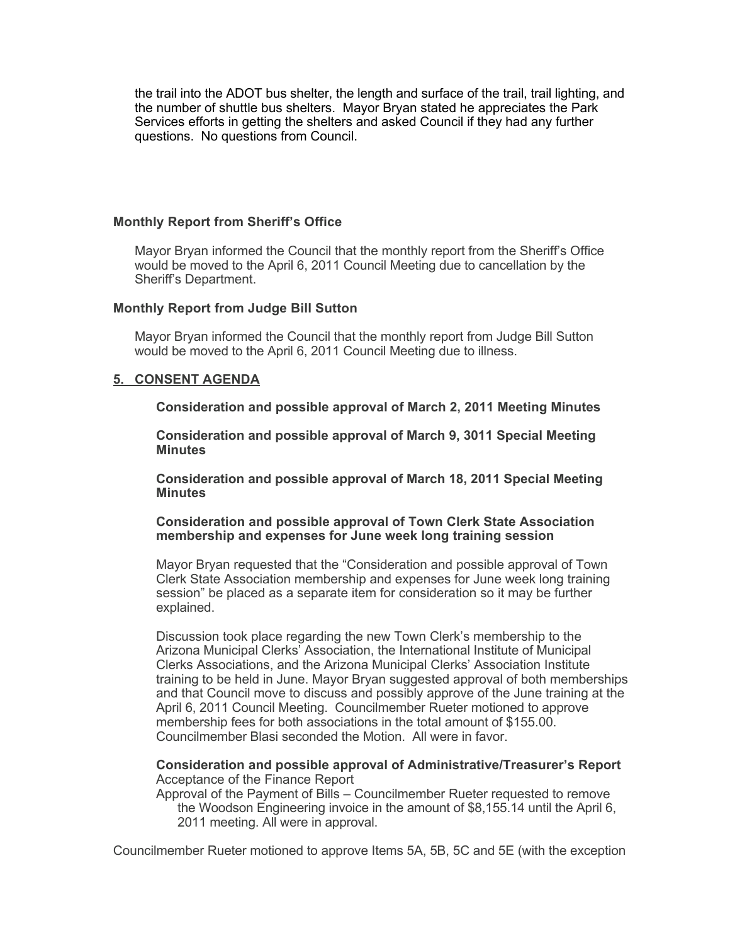the trail into the ADOT bus shelter, the length and surface of the trail, trail lighting, and the number of shuttle bus shelters. Mayor Bryan stated he appreciates the Park Services efforts in getting the shelters and asked Council if they had any further questions. No questions from Council.

#### **Monthly Report from Sheriff's Office**

Mayor Bryan informed the Council that the monthly report from the Sheriff's Office would be moved to the April 6, 2011 Council Meeting due to cancellation by the Sheriff's Department.

#### **Monthly Report from Judge Bill Sutton**

Mayor Bryan informed the Council that the monthly report from Judge Bill Sutton would be moved to the April 6, 2011 Council Meeting due to illness.

#### **5. CONSENT AGENDA**

**Consideration and possible approval of March 2, 2011 Meeting Minutes**

**Consideration and possible approval of March 9, 3011 Special Meeting Minutes**

**Consideration and possible approval of March 18, 2011 Special Meeting Minutes**

**Consideration and possible approval of Town Clerk State Association membership and expenses for June week long training session**

Mayor Bryan requested that the "Consideration and possible approval of Town Clerk State Association membership and expenses for June week long training session" be placed as a separate item for consideration so it may be further explained.

Discussion took place regarding the new Town Clerk's membership to the Arizona Municipal Clerks' Association, the International Institute of Municipal Clerks Associations, and the Arizona Municipal Clerks' Association Institute training to be held in June. Mayor Bryan suggested approval of both memberships and that Council move to discuss and possibly approve of the June training at the April 6, 2011 Council Meeting. Councilmember Rueter motioned to approve membership fees for both associations in the total amount of \$155.00. Councilmember Blasi seconded the Motion. All were in favor.

#### **Consideration and possible approval of Administrative/Treasurer's Report** Acceptance of the Finance Report

Approval of the Payment of Bills – Councilmember Rueter requested to remove the Woodson Engineering invoice in the amount of \$8,155.14 until the April 6, 2011 meeting. All were in approval.

Councilmember Rueter motioned to approve Items 5A, 5B, 5C and 5E (with the exception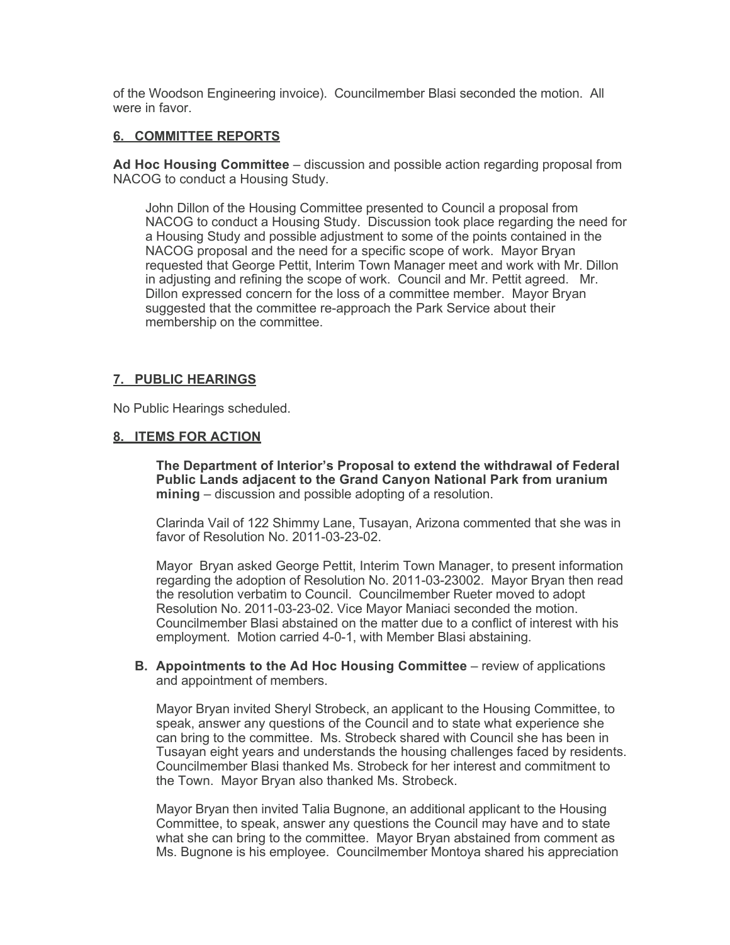of the Woodson Engineering invoice). Councilmember Blasi seconded the motion. All were in favor

#### **6. COMMITTEE REPORTS**

**Ad Hoc Housing Committee** – discussion and possible action regarding proposal from NACOG to conduct a Housing Study.

John Dillon of the Housing Committee presented to Council a proposal from NACOG to conduct a Housing Study. Discussion took place regarding the need for a Housing Study and possible adjustment to some of the points contained in the NACOG proposal and the need for a specific scope of work. Mayor Bryan requested that George Pettit, Interim Town Manager meet and work with Mr. Dillon in adjusting and refining the scope of work. Council and Mr. Pettit agreed. Mr. Dillon expressed concern for the loss of a committee member. Mayor Bryan suggested that the committee re-approach the Park Service about their membership on the committee.

## **7. PUBLIC HEARINGS**

No Public Hearings scheduled.

#### **8. ITEMS FOR ACTION**

**The Department of Interior's Proposal to extend the withdrawal of Federal Public Lands adjacent to the Grand Canyon National Park from uranium mining** – discussion and possible adopting of a resolution.

Clarinda Vail of 122 Shimmy Lane, Tusayan, Arizona commented that she was in favor of Resolution No. 2011-03-23-02.

Mayor Bryan asked George Pettit, Interim Town Manager, to present information regarding the adoption of Resolution No. 2011-03-23002. Mayor Bryan then read the resolution verbatim to Council. Councilmember Rueter moved to adopt Resolution No. 2011-03-23-02. Vice Mayor Maniaci seconded the motion. Councilmember Blasi abstained on the matter due to a conflict of interest with his employment. Motion carried 4-0-1, with Member Blasi abstaining.

**B. Appointments to the Ad Hoc Housing Committee** – review of applications and appointment of members.

Mayor Bryan invited Sheryl Strobeck, an applicant to the Housing Committee, to speak, answer any questions of the Council and to state what experience she can bring to the committee. Ms. Strobeck shared with Council she has been in Tusayan eight years and understands the housing challenges faced by residents. Councilmember Blasi thanked Ms. Strobeck for her interest and commitment to the Town. Mayor Bryan also thanked Ms. Strobeck.

Mayor Bryan then invited Talia Bugnone, an additional applicant to the Housing Committee, to speak, answer any questions the Council may have and to state what she can bring to the committee. Mayor Bryan abstained from comment as Ms. Bugnone is his employee. Councilmember Montoya shared his appreciation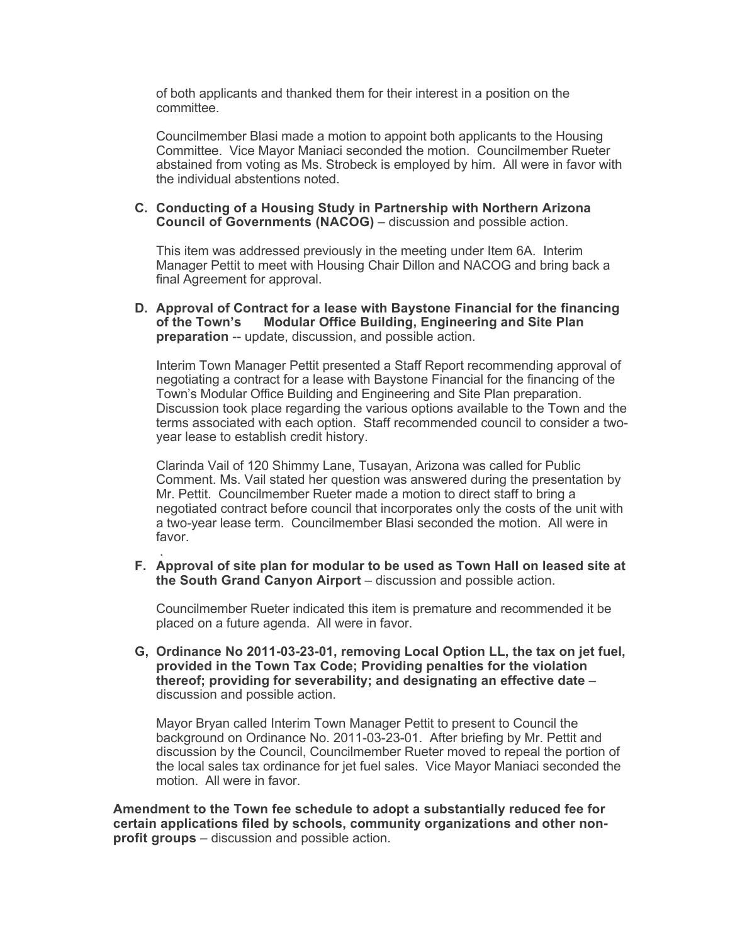of both applicants and thanked them for their interest in a position on the committee.

Councilmember Blasi made a motion to appoint both applicants to the Housing Committee. Vice Mayor Maniaci seconded the motion. Councilmember Rueter abstained from voting as Ms. Strobeck is employed by him. All were in favor with the individual abstentions noted.

#### **C. Conducting of a Housing Study in Partnership with Northern Arizona Council of Governments (NACOG)** – discussion and possible action.

This item was addressed previously in the meeting under Item 6A. Interim Manager Pettit to meet with Housing Chair Dillon and NACOG and bring back a final Agreement for approval.

**D. Approval of Contract for a lease with Baystone Financial for the financing of the Town's Modular Office Building, Engineering and Site Plan preparation** -- update, discussion, and possible action.

Interim Town Manager Pettit presented a Staff Report recommending approval of negotiating a contract for a lease with Baystone Financial for the financing of the Town's Modular Office Building and Engineering and Site Plan preparation. Discussion took place regarding the various options available to the Town and the terms associated with each option. Staff recommended council to consider a twoyear lease to establish credit history.

Clarinda Vail of 120 Shimmy Lane, Tusayan, Arizona was called for Public Comment. Ms. Vail stated her question was answered during the presentation by Mr. Pettit. Councilmember Rueter made a motion to direct staff to bring a negotiated contract before council that incorporates only the costs of the unit with a two-year lease term. Councilmember Blasi seconded the motion. All were in favor.

 . **F. Approval of site plan for modular to be used as Town Hall on leased site at the South Grand Canyon Airport** – discussion and possible action.

Councilmember Rueter indicated this item is premature and recommended it be placed on a future agenda. All were in favor.

**G, Ordinance No 2011-03-23-01, removing Local Option LL, the tax on jet fuel, provided in the Town Tax Code; Providing penalties for the violation thereof; providing for severability; and designating an effective date** – discussion and possible action.

Mayor Bryan called Interim Town Manager Pettit to present to Council the background on Ordinance No. 2011-03-23-01. After briefing by Mr. Pettit and discussion by the Council, Councilmember Rueter moved to repeal the portion of the local sales tax ordinance for jet fuel sales. Vice Mayor Maniaci seconded the motion. All were in favor.

**Amendment to the Town fee schedule to adopt a substantially reduced fee for certain applications filed by schools, community organizations and other nonprofit groups** – discussion and possible action.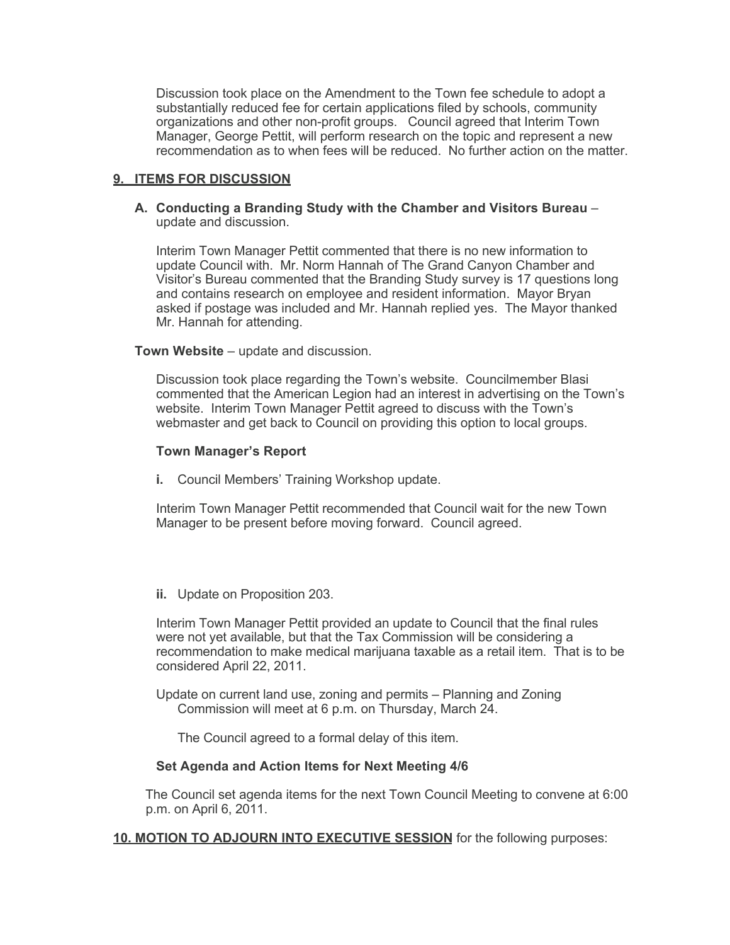Discussion took place on the Amendment to the Town fee schedule to adopt a substantially reduced fee for certain applications filed by schools, community organizations and other non-profit groups. Council agreed that Interim Town Manager, George Pettit, will perform research on the topic and represent a new recommendation as to when fees will be reduced. No further action on the matter.

#### **9. ITEMS FOR DISCUSSION**

#### **A. Conducting a Branding Study with the Chamber and Visitors Bureau** – update and discussion.

Interim Town Manager Pettit commented that there is no new information to update Council with. Mr. Norm Hannah of The Grand Canyon Chamber and Visitor's Bureau commented that the Branding Study survey is 17 questions long and contains research on employee and resident information. Mayor Bryan asked if postage was included and Mr. Hannah replied yes. The Mayor thanked Mr. Hannah for attending.

#### **Town Website** – update and discussion.

Discussion took place regarding the Town's website. Councilmember Blasi commented that the American Legion had an interest in advertising on the Town's website. Interim Town Manager Pettit agreed to discuss with the Town's webmaster and get back to Council on providing this option to local groups.

#### **Town Manager's Report**

**i.** Council Members' Training Workshop update.

Interim Town Manager Pettit recommended that Council wait for the new Town Manager to be present before moving forward. Council agreed.

**ii.** Update on Proposition 203.

Interim Town Manager Pettit provided an update to Council that the final rules were not yet available, but that the Tax Commission will be considering a recommendation to make medical marijuana taxable as a retail item. That is to be considered April 22, 2011.

Update on current land use, zoning and permits – Planning and Zoning Commission will meet at 6 p.m. on Thursday, March 24.

The Council agreed to a formal delay of this item.

#### **Set Agenda and Action Items for Next Meeting 4/6**

The Council set agenda items for the next Town Council Meeting to convene at 6:00 p.m. on April 6, 2011.

**10. MOTION TO ADJOURN INTO EXECUTIVE SESSION** for the following purposes: